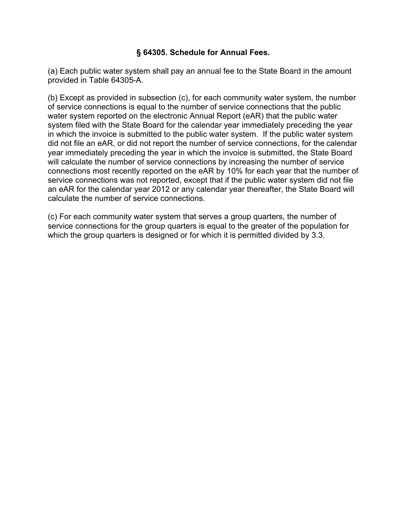## **§ 64305. Schedule for Annual Fees.**

(a) Each public water system shall pay an annual fee to the State Board in the amount provided in Table 64305-A.

(b) Except as provided in subsection (c), for each community water system, the number of service connections is equal to the number of service connections that the public water system reported on the electronic Annual Report (eAR) that the public water system filed with the State Board for the calendar year immediately preceding the year in which the invoice is submitted to the public water system. If the public water system did not file an eAR, or did not report the number of service connections, for the calendar year immediately preceding the year in which the invoice is submitted, the State Board will calculate the number of service connections by increasing the number of service connections most recently reported on the eAR by 10% for each year that the number of service connections was not reported, except that if the public water system did not file an eAR for the calendar year 2012 or any calendar year thereafter, the State Board will calculate the number of service connections.

(c) For each community water system that serves a group quarters, the number of service connections for the group quarters is equal to the greater of the population for which the group quarters is designed or for which it is permitted divided by 3.3.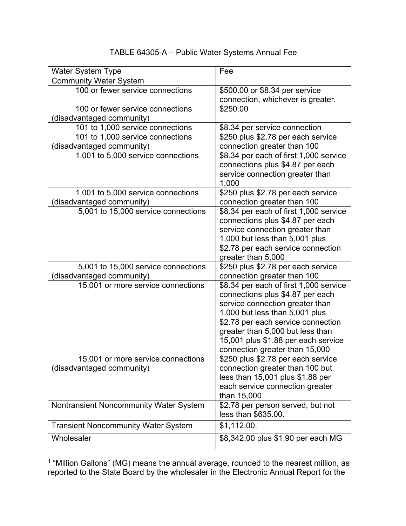## Water System Type Fee Community Water System 100 or fewer service connections | \$500.00 or \$8.34 per service connection, whichever is greater*.* 100 or fewer service connections (disadvantaged community) \$250.00 101 to 1,000 service connections  $\frac{1}{88.34}$  per service connection 101 to 1,000 service connections (disadvantaged community) \$250 plus \$2.78 per each service connection greater than 100 1,001 to 5,000 service connections  $\frac{1}{88.34}$  per each of first 1,000 service connections plus \$4.87 per each service connection greater than 1,000 1,001 to 5,000 service connections (disadvantaged community) \$250 plus \$2.78 per each service connection greater than 100 5,001 to 15,000 service connections  $\parallel$  \$8.34 per each of first 1,000 service connections plus \$4.87 per each service connection greater than 1,000 but less than 5,001 plus \$2.78 per each service connection greater than 5,000 5,001 to 15,000 service connections (disadvantaged community) \$250 plus \$2.78 per each service connection greater than 100 15,001 or more service connections \$8.34 per each of first 1,000 service connections plus \$4.87 per each service connection greater than 1,000 but less than 5,001 plus \$2.78 per each service connection greater than 5,000 but less than 15,001 plus \$1.88 per each service connection greater than 15,000 15,001 or more service connections (disadvantaged community) \$250 plus \$2.78 per each service connection greater than 100 but less than 15,001 plus \$1.88 per each service connection greater than 15,000 Nontransient Noncommunity Water System  $\frac{1}{2}$  \$2.78 per person served, but not less than \$635.00. Transient Noncommunity Water System | \$1,112.00. Wholesaler  $\Big| \$8,342.00 \text{ plus } \$1.90 \text{ per each MG} \Big|$

## TABLE 64305-A – Public Water Systems Annual Fee

 $<sup>1</sup>$  "Million Gallons" (MG) means the annual average, rounded to the nearest million, as</sup> reported to the State Board by the wholesaler in the Electronic Annual Report for the